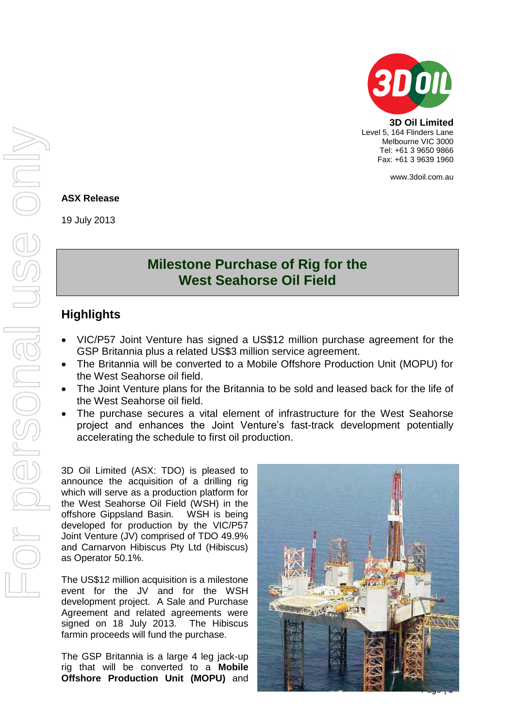

**3D Oil Limited** Level 5, 164 Flinders Lane Melbourne VIC 3000 Tel: +61 3 9650 9866 Fax: +61 3 9639 1960

www.3doil.com.au

#### **ASX Release**

19 July 2013

# **Milestone Purchase of Rig for the West Seahorse Oil Field**

## **Highlights**

- VIC/P57 Joint Venture has signed a US\$12 million purchase agreement for the GSP Britannia plus a related US\$3 million service agreement.
- The Britannia will be converted to a Mobile Offshore Production Unit (MOPU) for the West Seahorse oil field.
- The Joint Venture plans for the Britannia to be sold and leased back for the life of the West Seahorse oil field.
- The purchase secures a vital element of infrastructure for the West Seahorse project and enhances the Joint Venture's fast-track development potentially accelerating the schedule to first oil production.

3D Oil Limited (ASX: TDO) is pleased to announce the acquisition of a drilling rig which will serve as a production platform for the West Seahorse Oil Field (WSH) in the offshore Gippsland Basin. WSH is being developed for production by the VIC/P57 Joint Venture (JV) comprised of TDO 49.9% and Carnarvon Hibiscus Pty Ltd (Hibiscus) as Operator 50.1%.

The US\$12 million acquisition is a milestone event for the JV and for the WSH development project. A Sale and Purchase Agreement and related agreements were signed on 18 July 2013. The Hibiscus farmin proceeds will fund the purchase.

The GSP Britannia is a large 4 leg jack-up rig that will be converted to a **Mobile Offshore Production Unit (MOPU)** and

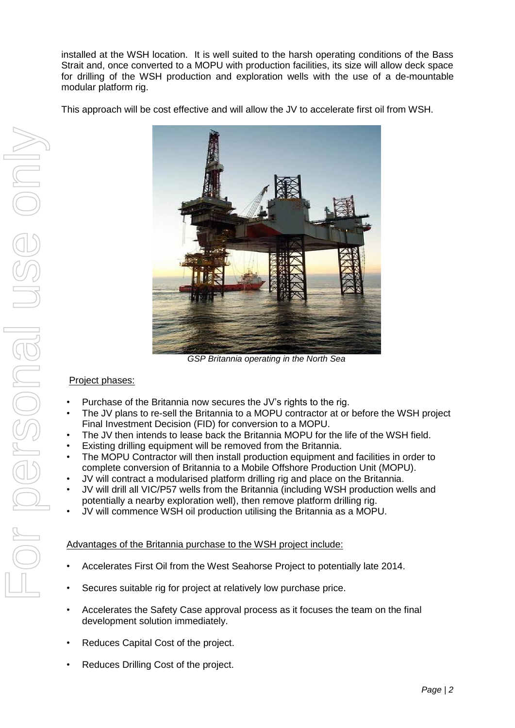installed at the WSH location. It is well suited to the harsh operating conditions of the Bass Strait and, once converted to a MOPU with production facilities, its size will allow deck space for drilling of the WSH production and exploration wells with the use of a de-mountable modular platform rig.

This approach will be cost effective and will allow the JV to accelerate first oil from WSH.



*GSP Britannia operating in the North Sea*

### Project phases:

- Purchase of the Britannia now secures the JV's rights to the rig.
- The JV plans to re-sell the Britannia to a MOPU contractor at or before the WSH project Final Investment Decision (FID) for conversion to a MOPU.
- The JV then intends to lease back the Britannia MOPU for the life of the WSH field.
- Existing drilling equipment will be removed from the Britannia.
- The MOPU Contractor will then install production equipment and facilities in order to complete conversion of Britannia to a Mobile Offshore Production Unit (MOPU).
- JV will contract a modularised platform drilling rig and place on the Britannia.
- JV will drill all VIC/P57 wells from the Britannia (including WSH production wells and potentially a nearby exploration well), then remove platform drilling rig.
- JV will commence WSH oil production utilising the Britannia as a MOPU.

### Advantages of the Britannia purchase to the WSH project include:

- Accelerates First Oil from the West Seahorse Project to potentially late 2014.
- Secures suitable rig for project at relatively low purchase price.
- Accelerates the Safety Case approval process as it focuses the team on the final development solution immediately.
- Reduces Capital Cost of the project.
- Reduces Drilling Cost of the project.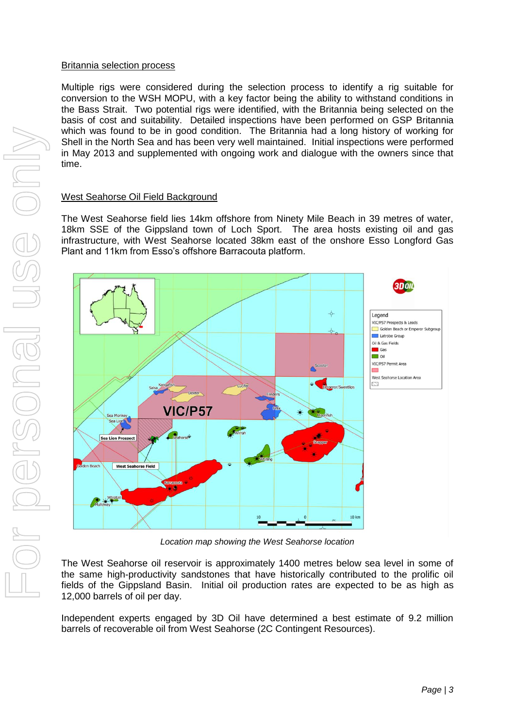#### Britannia selection process

Multiple rigs were considered during the selection process to identify a rig suitable for conversion to the WSH MOPU, with a key factor being the ability to withstand conditions in the Bass Strait. Two potential rigs were identified, with the Britannia being selected on the basis of cost and suitability. Detailed inspections have been performed on GSP Britannia which was found to be in good condition. The Britannia had a long history of working for Shell in the North Sea and has been very well maintained. Initial inspections were performed in May 2013 and supplemented with ongoing work and dialogue with the owners since that time.

#### West Seahorse Oil Field Background

The West Seahorse field lies 14km offshore from Ninety Mile Beach in 39 metres of water, 18km SSE of the Gippsland town of Loch Sport. The area hosts existing oil and gas infrastructure, with West Seahorse located 38km east of the onshore Esso Longford Gas Plant and 11km from Esso's offshore Barracouta platform.



*Location map showing the West Seahorse location* 

The West Seahorse oil reservoir is approximately 1400 metres below sea level in some of the same high-productivity sandstones that have historically contributed to the prolific oil fields of the Gippsland Basin. Initial oil production rates are expected to be as high as 12,000 barrels of oil per day.

Independent experts engaged by 3D Oil have determined a best estimate of 9.2 million barrels of recoverable oil from West Seahorse (2C Contingent Resources).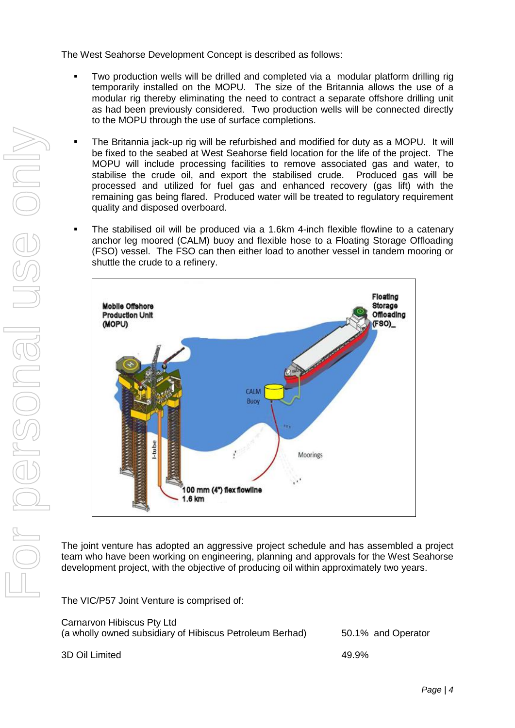The West Seahorse Development Concept is described as follows:

- Two production wells will be drilled and completed via a modular platform drilling rig temporarily installed on the MOPU. The size of the Britannia allows the use of a modular rig thereby eliminating the need to contract a separate offshore drilling unit as had been previously considered. Two production wells will be connected directly to the MOPU through the use of surface completions.
- The Britannia jack-up rig will be refurbished and modified for duty as a MOPU. It will be fixed to the seabed at West Seahorse field location for the life of the project. The MOPU will include processing facilities to remove associated gas and water, to stabilise the crude oil, and export the stabilised crude. Produced gas will be processed and utilized for fuel gas and enhanced recovery (gas lift) with the remaining gas being flared. Produced water will be treated to regulatory requirement quality and disposed overboard.
- The stabilised oil will be produced via a 1.6km 4-inch flexible flowline to a catenary anchor leg moored (CALM) buoy and flexible hose to a Floating Storage Offloading (FSO) vessel. The FSO can then either load to another vessel in tandem mooring or shuttle the crude to a refinery.



The joint venture has adopted an aggressive project schedule and has assembled a project team who have been working on engineering, planning and approvals for the West Seahorse development project, with the objective of producing oil within approximately two years.

The VIC/P57 Joint Venture is comprised of:

| Carnarvon Hibiscus Pty Ltd                               |                    |
|----------------------------------------------------------|--------------------|
| (a wholly owned subsidiary of Hibiscus Petroleum Berhad) | 50.1% and Operator |

3D Oil Limited 49.9%